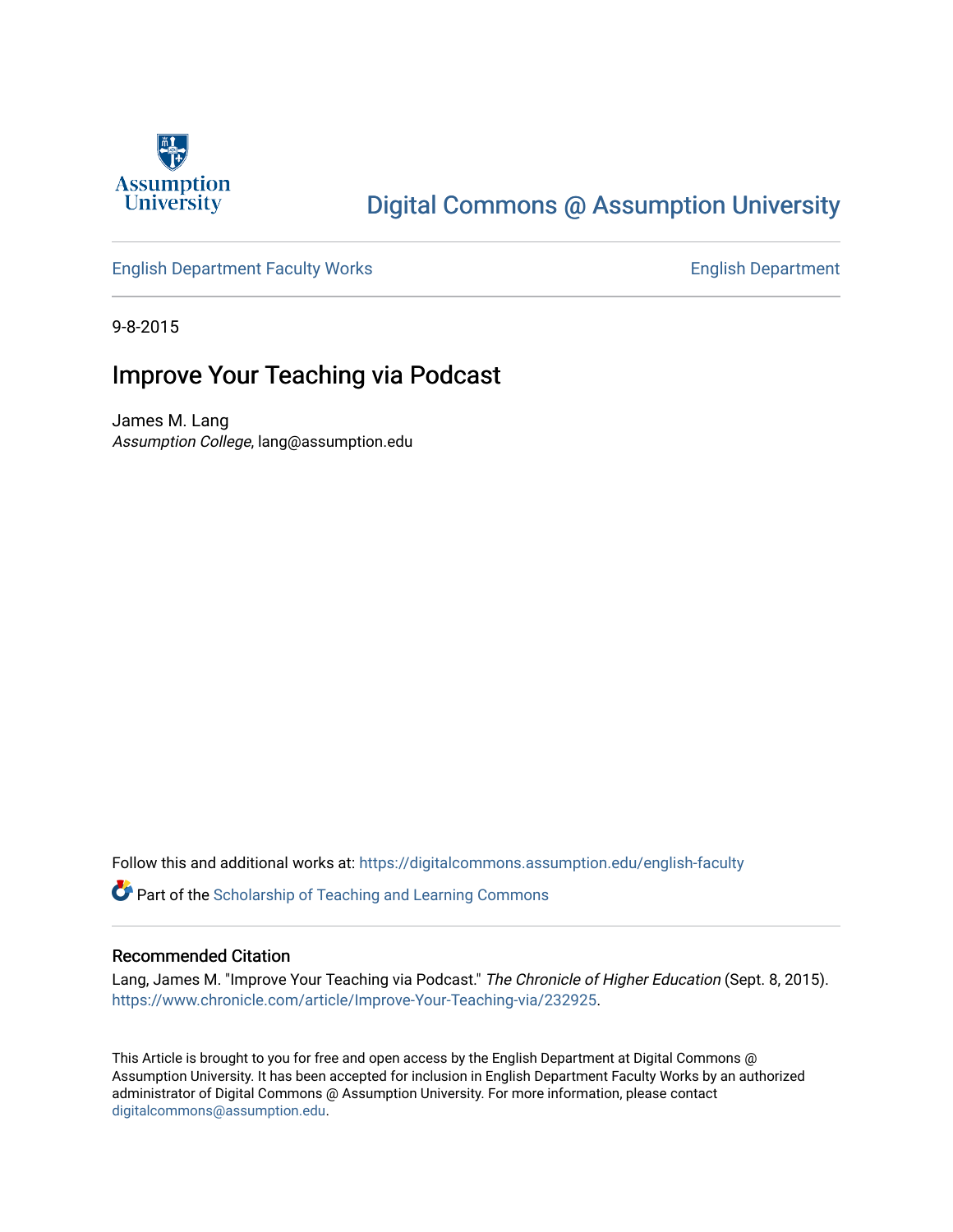

## [Digital Commons @ Assumption University](https://digitalcommons.assumption.edu/)

### [English Department Faculty Works](https://digitalcommons.assumption.edu/english-faculty) **English Department**

9-8-2015

## Improve Your Teaching via Podcast

James M. Lang Assumption College, lang@assumption.edu

Follow this and additional works at: [https://digitalcommons.assumption.edu/english-faculty](https://digitalcommons.assumption.edu/english-faculty?utm_source=digitalcommons.assumption.edu%2Fenglish-faculty%2F41&utm_medium=PDF&utm_campaign=PDFCoverPages) 

Part of the [Scholarship of Teaching and Learning Commons](http://network.bepress.com/hgg/discipline/1328?utm_source=digitalcommons.assumption.edu%2Fenglish-faculty%2F41&utm_medium=PDF&utm_campaign=PDFCoverPages) 

#### Recommended Citation

Lang, James M. "Improve Your Teaching via Podcast." The Chronicle of Higher Education (Sept. 8, 2015). [https://www.chronicle.com/article/Improve-Your-Teaching-via/232925.](https://www.chronicle.com/article/Improve-Your-Teaching-via/232925)

This Article is brought to you for free and open access by the English Department at Digital Commons @ Assumption University. It has been accepted for inclusion in English Department Faculty Works by an authorized administrator of Digital Commons @ Assumption University. For more information, please contact [digitalcommons@assumption.edu](mailto:digitalcommons@assumption.edu).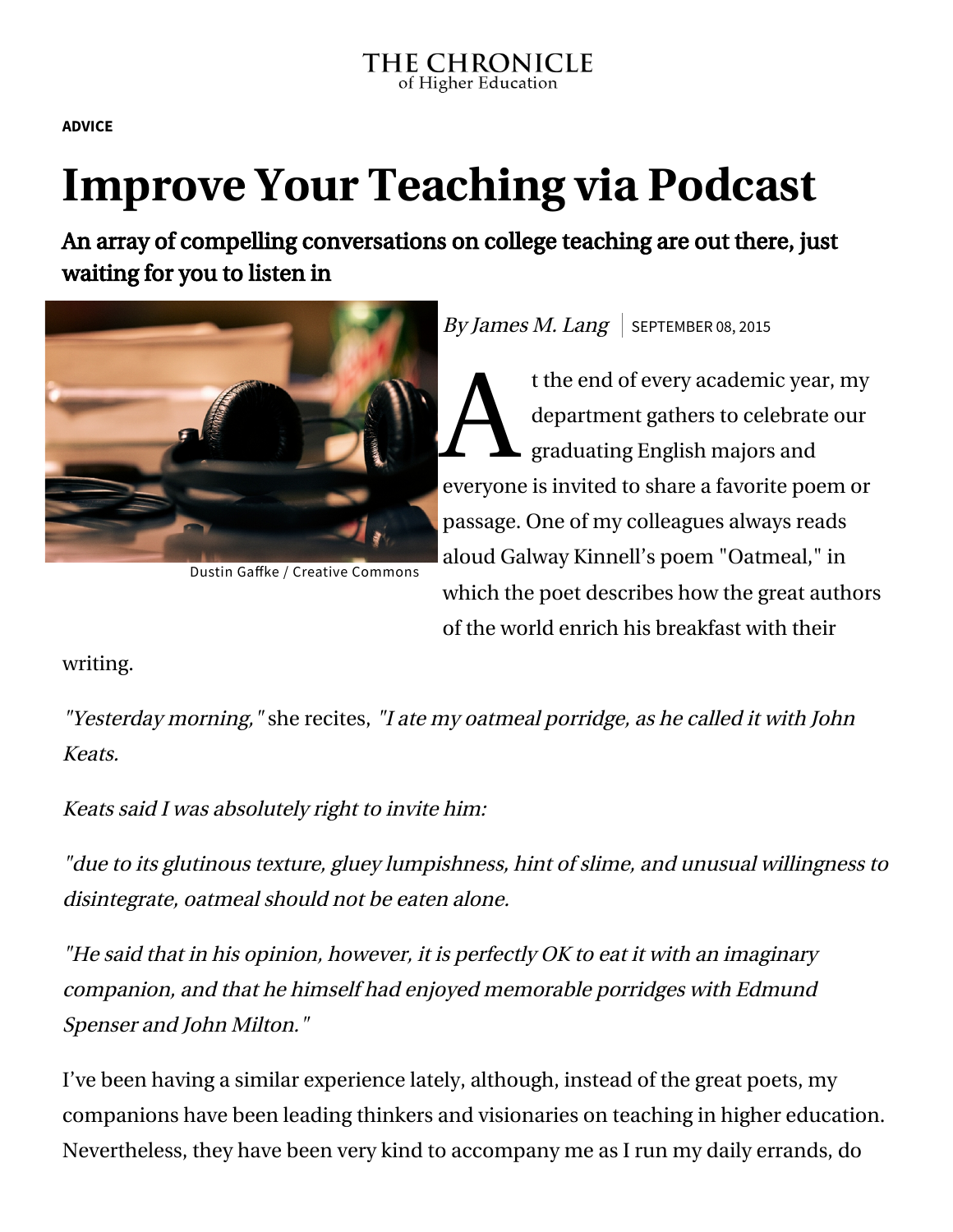**[ADVICE](https://www.chronicle.com/section/Advice/66)**

# **Improve Your Teaching via Podcast**

An array of compelling conversations on college teaching are out there, just waiting for you to listen in



Dustin Gaffke / Creative [Commons](https://creativecommons.org/licenses/by/2.0/)

By James M. Lang  $\vert$  SEPTEMBER 08, 2015

 $\sum_{gr}^{tt}$ t the end of every academic year, my department gathers to celebrate our graduating English majors and everyone is invited to share a favorite poem or passage. One of my colleagues always reads aloud Galway Kinnell's poem "Oatmeal," in which the poet describes how the great authors of the world enrich his breakfast with their

writing.

"Yesterday morning," she recites, "I ate my oatmeal porridge, as he called it with John Keats.

Keats said I was absolutely right to invite him:

"due to its glutinous texture, gluey lumpishness, hint of slime, and unusual willingness to disintegrate, oatmeal should not be eaten alone.

"He said that in his opinion, however, it is perfectly OK to eat it with an imaginary companion, and that he himself had enjoyed memorable porridges with Edmund Spenser and John Milton."

I've been having a similar experience lately, although, instead of the great poets, my companions have been leading thinkers and visionaries on teaching in higher education. Nevertheless, they have been very kind to accompany me as I run my daily errands, do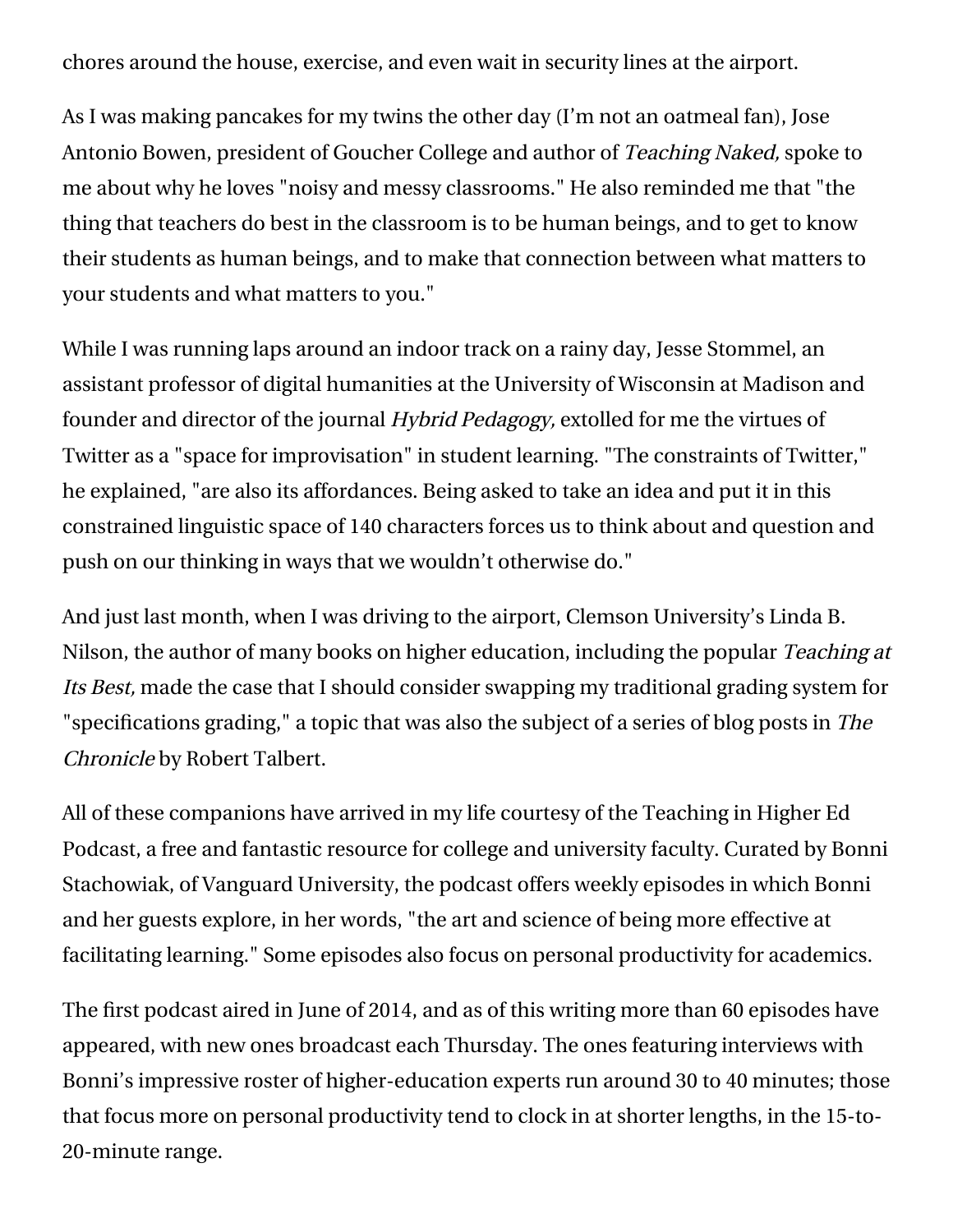chores around the house, exercise, and even wait in security lines at the airport.

[As I was making pancakes for my twins the other day \(I'm not an oatmeal fan\), Jose](http://josebowen.com/) Antonio Bowen, president of Goucher College and author of Teaching Naked, spoke to [me about why he loves "noisy and messy classrooms." He also reminded me that "the](http://teachinginhighered.com/podcast/teaching-naked-podcast/) thing that teachers do best in the classroom is to be human beings, and to get to know their students as human beings, and to make that connection between what matters to your students and what matters to you."

While I was running laps around an indoor track on a rainy day, [Jesse Stommel,](http://jessestommel.com/) an assistant professor of digital humanities at the University of Wisconsin at Madison and founder and director of the journal [Hybrid Pedagogy,](http://www.hybridpedagogy.com/) [extolled for me](http://teachinginhighered.com/podcast/teaching-with-twitter/) the virtues of Twitter as a "space for improvisation" in student learning. "The constraints of Twitter," he explained, "are also its affordances. Being asked to take an idea and put it in this constrained linguistic space of 140 characters forces us to think about and question and push on our thinking in ways that we wouldn't otherwise do."

[And just last month, when I was driving to the airport, Clemson University's Linda B.](http://www.clemson.edu/OTEI/about/leadership.html) Nilson, the author of many books on higher education, including the popular Teaching at Its Best, [made the case](http://teachinginhighered.com/podcast/specifications-grading/) that I should consider swapping my traditional grading system for "specifications grading," a topic that was also the subject of a [series of blog posts](http://chronicle.com/blognetwork/castingoutnines/tag/specifications-grading/) in The Chronicle by Robert Talbert.

All of these companions have arrived in my life courtesy of the Teaching in Higher Ed [Podcast, a free and fantastic resource for college and university faculty. Curated by B](http://teachinginhighered.com/episodes/)[onni](http://teachinginhighered.com/about/) Stachowiak, of Vanguard University, the podcast offers weekly episodes in which Bonni and her guests explore, in her words, "the art and science of being more effective at facilitating learning." Some episodes also focus on personal productivity for academics.

The first podcast aired in June of 2014, and as of this writing more than 60 episodes have appeared, with new ones broadcast each Thursday. The ones featuring interviews with Bonni's impressive roster of higher-education experts run around 30 to 40 minutes; those that focus more on personal productivity tend to clock in at shorter lengths, in the 15-to-20-minute range.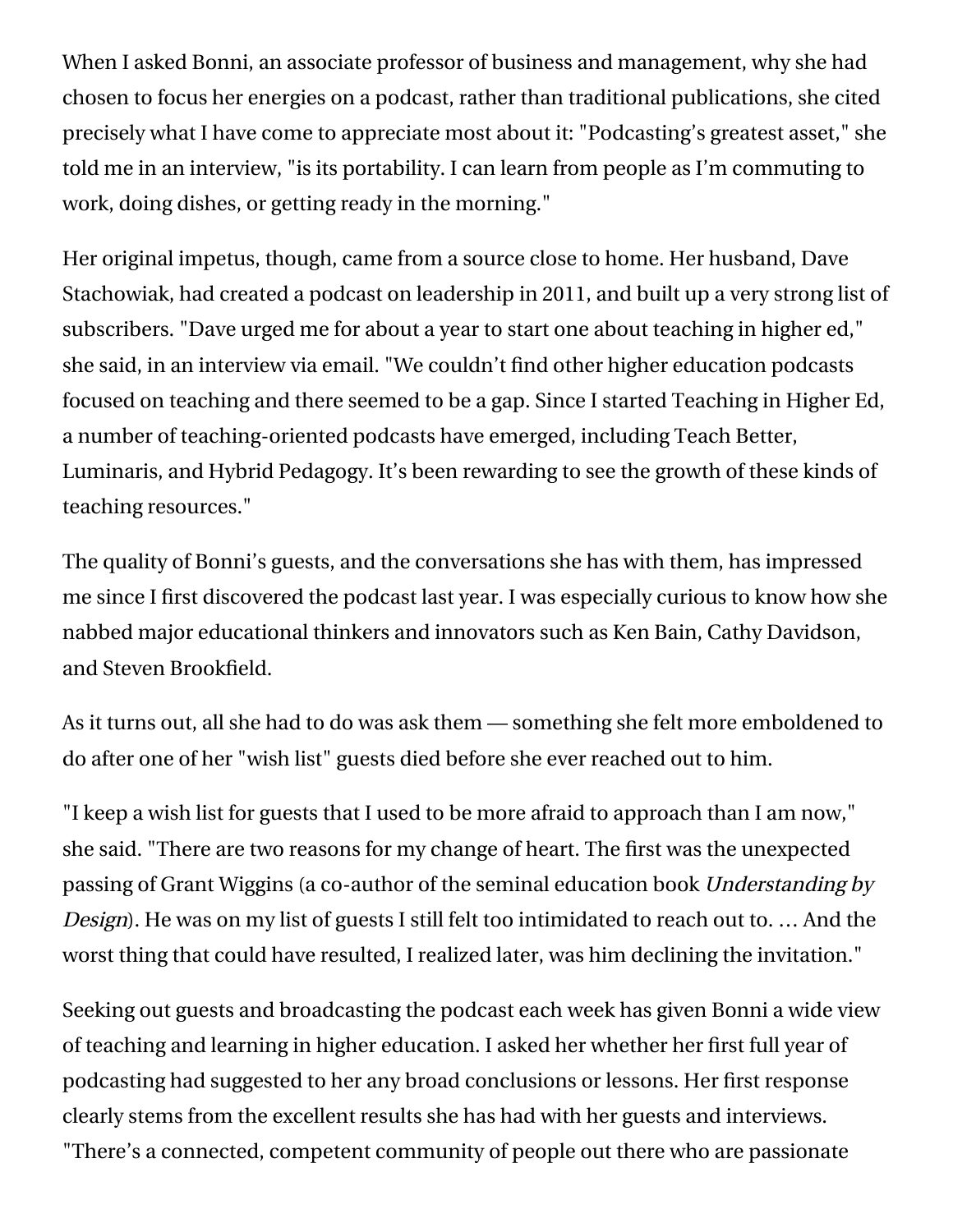When I asked Bonni, an associate professor of business and management, why she had chosen to focus her energies on a podcast, rather than traditional publications, she cited precisely what I have come to appreciate most about it: "Podcasting's greatest asset," she told me in an interview, "is its portability. I can learn from people as I'm commuting to work, doing dishes, or getting ready in the morning."

Her original impetus, though, came from a source close to home. Her husband, Dave Stachowiak, had created a [podcast on leadership](http://coachingforleaders.com/start/) in 2011, and built up a very strong list of subscribers. "Dave urged me for about a year to start one about teaching in higher ed," she said, in an interview via email. "We couldn't find other higher education podcasts focused on teaching and there seemed to be a gap. Since I started Teaching in Higher Ed, a number of teaching-oriented podcasts have emerged, including [Teach Better,](http://teachbetter.co/) [Luminaris,](http://www.luminaris.link/blog/category/podcast) and [Hybrid Pedagogy.](http://www.hybridpedagogy.com/hybridpodcast) It's been rewarding to see the growth of these kinds of teaching resources."

The quality of Bonni's guests, and the conversations she has with them, has impressed me since I first discovered the podcast last year. I was especially curious to know how she nabbed major educational thinkers and innovators such as [Ken Bain,](http://teachinginhighered.com/podcast/ken-bain/) [Cathy Davidson,](http://teachinginhighered.com/podcast/cathy-davidson/) and [Steven Brookfield.](http://teachinginhighered.com/podcast/get-students-to-participate-in-discussion/)

As it turns out, all she had to do was ask them — something she felt more emboldened to do after one of her "wish list" guests died before she ever reached out to him.

"I keep a wish list for guests that I used to be more afraid to approach than I am now," she said. "There are two reasons for my change of heart. The first was the unexpected passing of [Grant Wiggins](https://grantwiggins.wordpress.com/) (a co-author of the seminal education book Understanding by Design). He was on my list of guests I still felt too intimidated to reach out to. … And the worst thing that could have resulted, I realized later, was him declining the invitation."

Seeking out guests and broadcasting the podcast each week has given Bonni a wide view of teaching and learning in higher education. I asked her whether her first full year of podcasting had suggested to her any broad conclusions or lessons. Her first response clearly stems from the excellent results she has had with her guests and interviews. "There's a connected, competent community of people out there who are passionate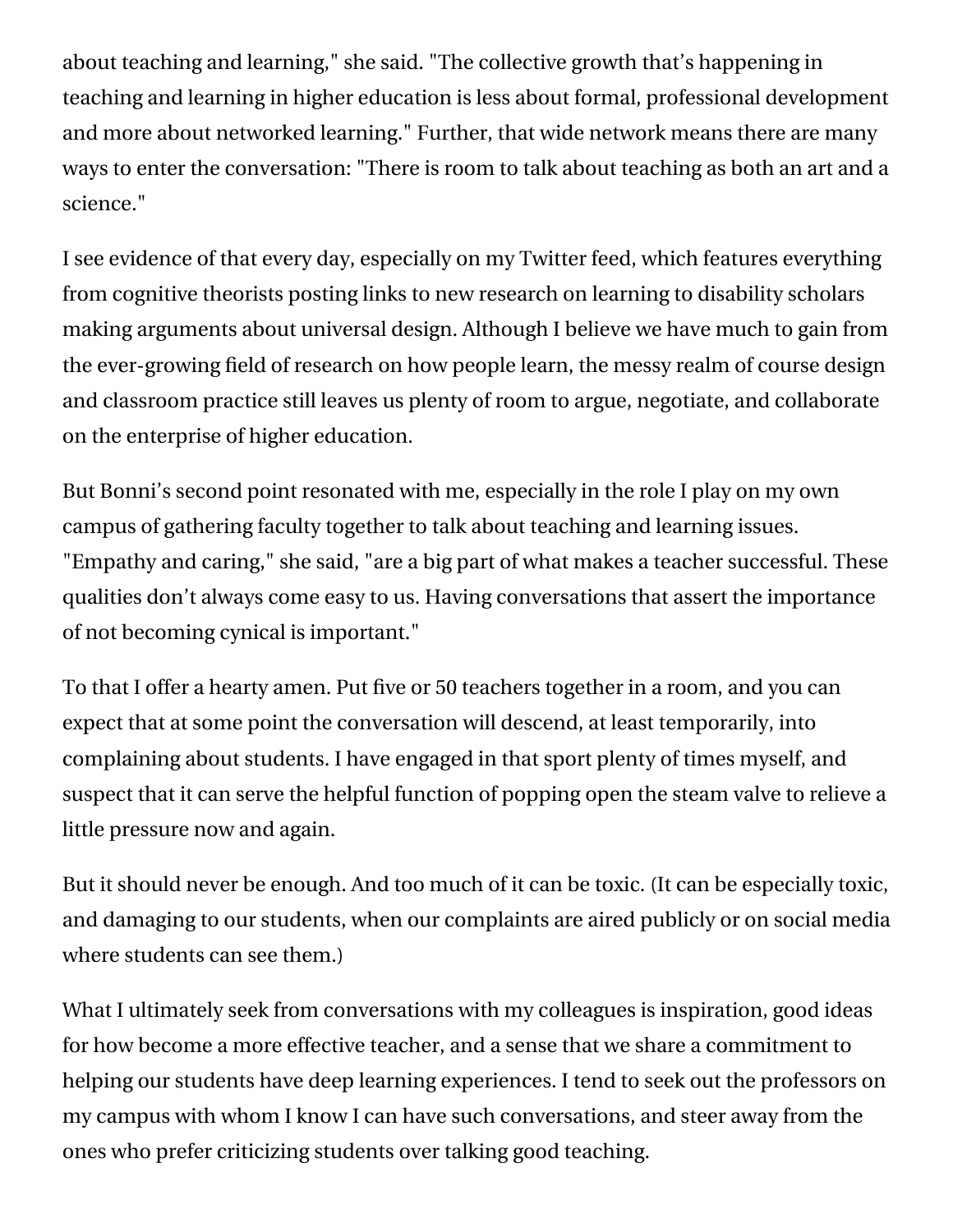about teaching and learning," she said. "The collective growth that's happening in teaching and learning in higher education is less about formal, professional development and more about networked learning." Further, that wide network means there are many ways to enter the conversation: "There is room to talk about teaching as both an art and a science."

I see evidence of that every day, especially on my [Twitter feed,](https://twitter.com/LangOnCourse?ref_src=twsrc%5Egoogle%7Ctwcamp%5Eserp%7Ctwgr%5Eauthor) which features everything from cognitive theorists posting links to new research on learning to disability scholars making arguments about universal design. Although I believe we have much to gain from the ever-growing field of research on how people learn, the messy realm of course design and classroom practice still leaves us plenty of room to argue, negotiate, and collaborate on the enterprise of higher education.

But Bonni's second point resonated with me, especially in the role I play on my own campus of gathering faculty together to talk about teaching and learning issues. "Empathy and caring," she said, "are a big part of what makes a teacher successful. These qualities don't always come easy to us. Having conversations that assert the importance of not becoming cynical is important."

To that I offer a hearty amen. Put five or 50 teachers together in a room, and you can expect that at some point the conversation will descend, at least temporarily, into complaining about students. I have engaged in that sport plenty of times myself, and suspect that it can serve the helpful function of popping open the steam valve to relieve a little pressure now and again.

But it should never be enough. And too much of it can be toxic. (It can be especially toxic, and damaging to our students, when our complaints are aired publicly or on social media where students can see them.)

What I ultimately seek from conversations with my colleagues is inspiration, good ideas for how become a more effective teacher, and a sense that we share a commitment to helping our students have deep learning experiences. I tend to seek out the professors on my campus with whom I know I can have such conversations, and steer away from the ones who prefer criticizing students over talking good teaching.